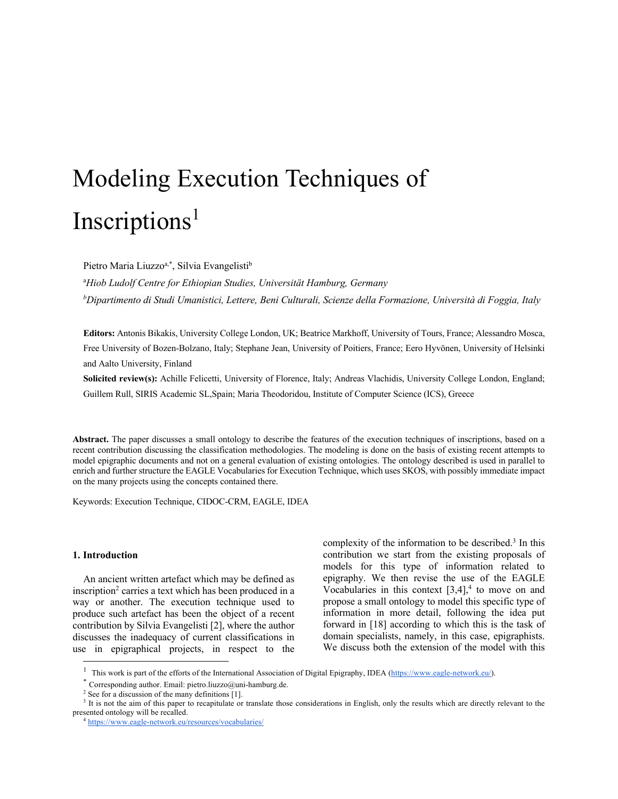# Modeling Execution Techniques of Inscriptions<sup>1</sup>

Pietro Maria Liuzzo<sup>a,\*</sup>, Silvia Evangelisti<sup>b</sup>

a *Hiob Ludolf Centre for Ethiopian Studies, Universität Hamburg, Germany b Dipartimento di Studi Umanistici, Lettere, Beni Culturali, Scienze della Formazione, Università di Foggia, Italy*

**Editors:** Antonis Bikakis, University College London, UK; Beatrice Markhoff, University of Tours, France; Alessandro Mosca, Free University of Bozen-Bolzano, Italy; Stephane Jean, University of Poitiers, France; Eero Hyvönen, University of Helsinki and Aalto University, Finland

**Solicited review(s):** Achille Felicetti, University of Florence, Italy; Andreas Vlachidis, University College London, England; Guillem Rull, SIRIS Academic SL,Spain; Maria Theodoridou, Institute of Computer Science (ICS), Greece

**Abstract.** The paper discusses a small ontology to describe the features of the execution techniques of inscriptions, based on a recent contribution discussing the classification methodologies. The modeling is done on the basis of existing recent attempts to model epigraphic documents and not on a general evaluation of existing ontologies. The ontology described is used in parallel to enrich and further structure the EAGLE Vocabularies for Execution Technique, which uses SKOS, with possibly immediate impact on the many projects using the concepts contained there.

Keywords: Execution Technique, CIDOC-CRM, EAGLE, IDEA

## **1. Introduction**

An ancient written artefact which may be defined as inscription<sup>2</sup> carries a text which has been produced in a way or another. The execution technique used to produce such artefact has been the object of a recent contribution by Silvia Evangelisti [2], where the author discusses the inadequacy of current classifications in use in epigraphical projects, in respect to the complexity of the information to be described.3 In this contribution we start from the existing proposals of models for this type of information related to epigraphy. We then revise the use of the EAGLE Vocabularies in this context  $[3,4]$ ,<sup>4</sup> to move on and propose a small ontology to model this specific type of information in more detail, following the idea put forward in [18] according to which this is the task of domain specialists, namely, in this case, epigraphists. We discuss both the extension of the model with this

<sup>1</sup> This work is part of the efforts of the International Association of Digital Epigraphy, IDEA (https://www.eagle-network.eu/).

Corresponding author. Email: pietro.liuzzo@uni-hamburg.de.

 $2$  See for a discussion of the many definitions [1].

<sup>&</sup>lt;sup>3</sup> It is not the aim of this paper to recapitulate or translate those considerations in English, only the results which are directly relevant to the presented ontology will be recalled.

<sup>4</sup> https://www.eagle-network.eu/resources/vocabularies/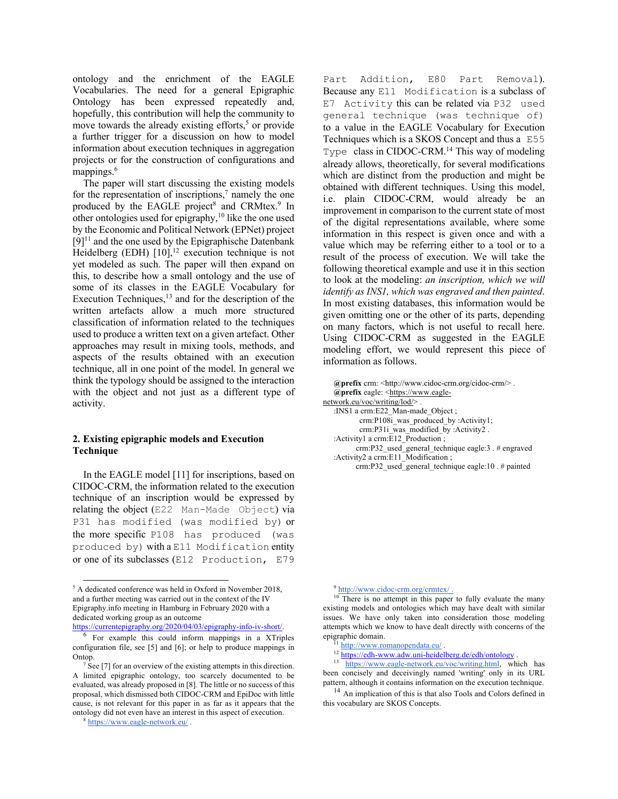ontology and the enrichment of the EAGLE Vocabularies. The need for a general Epigraphic Ontology has been expressed repeatedly and, hopefully, this contribution will help the community to move towards the already existing efforts, $5$  or provide a further trigger for a discussion on how to model information about execution techniques in aggregation projects or for the construction of configurations and mappings.<sup>6</sup>

The paper will start discussing the existing models for the representation of inscriptions, $\bar{y}$  namely the one produced by the EAGLE project<sup>8</sup> and CRMtex.<sup>9</sup> In other ontologies used for epigraphy, $10$  like the one used by the Economic and Political Network (EPNet) project  $[9]$ <sup>11</sup> and the one used by the Epigraphische Datenbank Heidelberg (EDH) [10], <sup>12</sup> execution technique is not yet modeled as such. The paper will then expand on this, to describe how a small ontology and the use of some of its classes in the EAGLE Vocabulary for Execution Techniques,<sup>13</sup> and for the description of the written artefacts allow a much more structured classification of information related to the techniques used to produce a written text on a given artefact. Other approaches may result in mixing tools, methods, and aspects of the results obtained with an execution technique, all in one point of the model. In general we think the typology should be assigned to the interaction with the object and not just as a different type of activity.

## **2. Existing epigraphic models and Execution Technique**

In the EAGLE model [11] for inscriptions, based on CIDOC-CRM, the information related to the execution technique of an inscription would be expressed by relating the object (E22 Man-Made Object) via P31 has modified (was modified by) or the more specific P108 has produced (was produced by) with a E11 Modification entity or one of its subclasses (E12 Production, E79

<sup>5</sup> A dedicated conference was held in Oxford in November 2018, and a further meeting was carried out in the context of the IV Epigraphy.info meeting in Hamburg in February 2020 with a dedicated working group as an outcome

Part Addition, E80 Part Removal). Because any E11 Modification is a subclass of E7 Activity this can be related via P32 used general technique (was technique of) to a value in the EAGLE Vocabulary for Execution Techniques which is a SKOS Concept and thus a E55 Type class in CIDOC-CRM.<sup>14</sup> This way of modeling already allows, theoretically, for several modifications which are distinct from the production and might be obtained with different techniques. Using this model, i.e. plain CIDOC-CRM, would already be an improvement in comparison to the current state of most of the digital representations available, where some information in this respect is given once and with a value which may be referring either to a tool or to a result of the process of execution. We will take the following theoretical example and use it in this section to look at the modeling: *an inscription, which we will identify as INS1, which was engraved and then painted*. In most existing databases, this information would be given omitting one or the other of its parts, depending on many factors, which is not useful to recall here. Using CIDOC-CRM as suggested in the EAGLE modeling effort, we would represent this piece of information as follows.

**@prefix** crm: <http://www.cidoc-crm.org/cidoc-crm/> . **@prefix** eagle: <https://www.eagle-

network.eu/voc/writing/lod/> .

:INS1 a crm:E22\_Man-made\_Object ;

crm:P108i\_was\_produced\_by :Activity1; crm:P31i\_was\_modified\_by :Activity2 .

:Activity1 a crm:E12\_Production ;

 crm:P32\_used\_general\_technique eagle:3 . # engraved :Activity2 a crm:E11\_Modification ;

crm:P32\_used\_general\_technique eagle:10 . # painted

<sup>9</sup> http://www.cidoc-crm.org/crmtex/ .

https://currentepigraphy.org/2020/04/03/epigraphy-info-iv-short/.

<sup>6</sup> For example this could inform mappings in a XTriples configuration file, see [5] and [6]; or help to produce mappings in Ontop.

 $\sqrt{7}$  See [7] for an overview of the existing attempts in this direction. A limited epigraphic ontology, too scarcely documented to be evaluated, was already proposed in [8]. The little or no success of this proposal, which dismissed both CIDOC-CRM and EpiDoc with little cause, is not relevant for this paper in as far as it appears that the ontology did not even have an interest in this aspect of execution.

<sup>8</sup> https://www.eagle-network.eu/ .

<sup>&</sup>lt;sup>10</sup> There is no attempt in this paper to fully evaluate the many existing models and ontologies which may have dealt with similar issues. We have only taken into consideration those modeling attempts which we know to have dealt directly with concerns of the epigraphic domain.

http://www.romanopendata.eu/.

<sup>&</sup>lt;sup>12</sup> https://edh-www.adw.uni-heidelberg.de/edh/ontology .

<sup>13</sup> https://www.eagle-network.eu/voc/writing.html, which has been concisely and deceivingly named 'writing' only in its URL pattern, although it contains information on the execution technique.

<sup>&</sup>lt;sup>14</sup> An implication of this is that also Tools and Colors defined in this vocabulary are SKOS Concepts.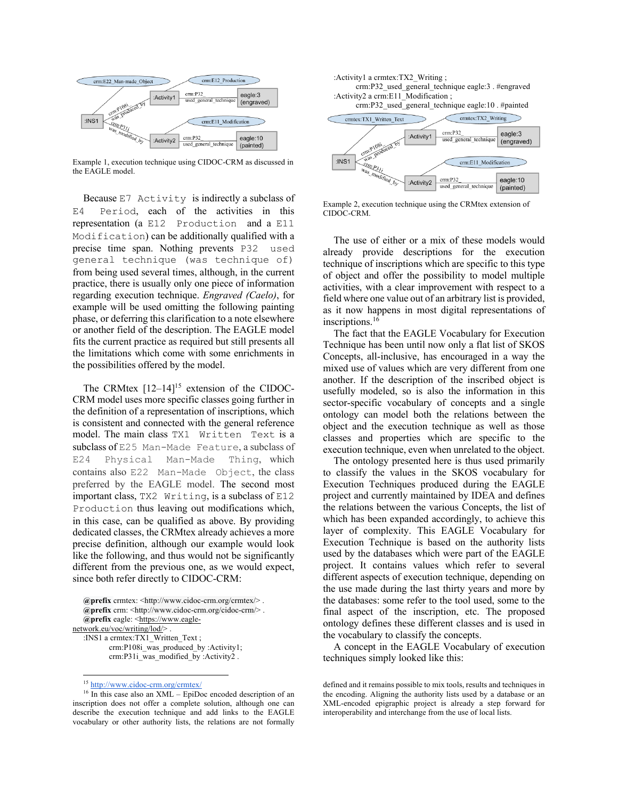

Example 1, execution technique using CIDOC-CRM as discussed in the EAGLE model.

Because E7 Activity is indirectly a subclass of E4 Period, each of the activities in this representation (a E12 Production and a E11 Modification) can be additionally qualified with a precise time span. Nothing prevents P32 used general technique (was technique of) from being used several times, although, in the current practice, there is usually only one piece of information regarding execution technique. *Engraved (Caelo)*, for example will be used omitting the following painting phase, or deferring this clarification to a note elsewhere or another field of the description. The EAGLE model fits the current practice as required but still presents all the limitations which come with some enrichments in the possibilities offered by the model.

The CRMtex  $[12-14]^{15}$  extension of the CIDOC-CRM model uses more specific classes going further in the definition of a representation of inscriptions, which is consistent and connected with the general reference model. The main class TX1 Written Text is a subclass of E25 Man-Made Feature, a subclass of E24 Physical Man-Made Thing, which contains also E22 Man-Made Object, the class preferred by the EAGLE model. The second most important class, TX2 Writing, is a subclass of E12 Production thus leaving out modifications which, in this case, can be qualified as above. By providing dedicated classes, the CRMtex already achieves a more precise definition, although our example would look like the following, and thus would not be significantly different from the previous one, as we would expect, since both refer directly to CIDOC-CRM:

```
@prefix crmtex: <http://www.cidoc-crm.org/crmtex/> .
   @prefix crm: <http://www.cidoc-crm.org/cidoc-crm/> .
   @prefix eagle: <https://www.eagle-
network.eu/voc/writing/lod/> .
```
:INS1 a crmtex:TX1\_Written\_Text ;

 $16$  In this case also an XML – EpiDoc encoded description of an inscription does not offer a complete solution, although one can describe the execution technique and add links to the EAGLE vocabulary or other authority lists, the relations are not formally



Example 2, execution technique using the CRMtex extension of CIDOC-CRM.

The use of either or a mix of these models would already provide descriptions for the execution technique of inscriptions which are specific to this type of object and offer the possibility to model multiple activities, with a clear improvement with respect to a field where one value out of an arbitrary list is provided, as it now happens in most digital representations of inscriptions. 16

The fact that the EAGLE Vocabulary for Execution Technique has been until now only a flat list of SKOS Concepts, all-inclusive, has encouraged in a way the mixed use of values which are very different from one another. If the description of the inscribed object is usefully modeled, so is also the information in this sector-specific vocabulary of concepts and a single ontology can model both the relations between the object and the execution technique as well as those classes and properties which are specific to the execution technique, even when unrelated to the object.

The ontology presented here is thus used primarily to classify the values in the SKOS vocabulary for Execution Techniques produced during the EAGLE project and currently maintained by IDEA and defines the relations between the various Concepts, the list of which has been expanded accordingly, to achieve this layer of complexity. This EAGLE Vocabulary for Execution Technique is based on the authority lists used by the databases which were part of the EAGLE project. It contains values which refer to several different aspects of execution technique, depending on the use made during the last thirty years and more by the databases: some refer to the tool used, some to the final aspect of the inscription, etc. The proposed ontology defines these different classes and is used in the vocabulary to classify the concepts.

A concept in the EAGLE Vocabulary of execution techniques simply looked like this:

defined and it remains possible to mix tools, results and techniques in the encoding. Aligning the authority lists used by a database or an XML-encoded epigraphic project is already a step forward for interoperability and interchange from the use of local lists.

crm:P108i\_was\_produced\_by :Activity1; crm:P31i\_was\_modified\_by :Activity2 .

<sup>15</sup> http://www.cidoc-crm.org/crmtex/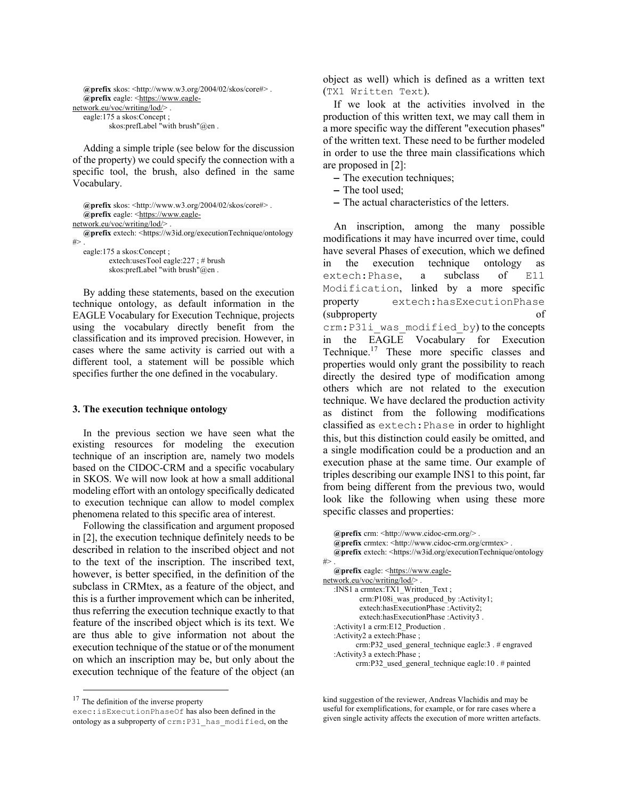```
@prefix skos: <http://www.w3.org/2004/02/skos/core#> . 
   @prefix eagle: <https://www.eagle-
network.eu/voc/writing/lod/> .
   eagle:175 a skos:Concept ;
           skos:prefLabel "with brush"@en .
```
Adding a simple triple (see below for the discussion of the property) we could specify the connection with a specific tool, the brush, also defined in the same Vocabulary.

```
@prefix skos: <http://www.w3.org/2004/02/skos/core#> . 
   @prefix eagle: <https://www.eagle-
network.eu/voc/writing/lod/> .
```
**@prefix** extech: <https://w3id.org/executionTechnique/ontology  $#$ 

```
eagle:175 a skos:Concept ;
         extech:usesTool eagle:227 ; # brush
         skos:prefLabel "with brush"@en .
```
By adding these statements, based on the execution technique ontology, as default information in the EAGLE Vocabulary for Execution Technique, projects using the vocabulary directly benefit from the classification and its improved precision. However, in cases where the same activity is carried out with a different tool, a statement will be possible which specifies further the one defined in the vocabulary.

#### **3. The execution technique ontology**

In the previous section we have seen what the existing resources for modeling the execution technique of an inscription are, namely two models based on the CIDOC-CRM and a specific vocabulary in SKOS. We will now look at how a small additional modeling effort with an ontology specifically dedicated to execution technique can allow to model complex phenomena related to this specific area of interest.

Following the classification and argument proposed in [2], the execution technique definitely needs to be described in relation to the inscribed object and not to the text of the inscription. The inscribed text, however, is better specified, in the definition of the subclass in CRMtex, as a feature of the object, and this is a further improvement which can be inherited, thus referring the execution technique exactly to that feature of the inscribed object which is its text. We are thus able to give information not about the execution technique of the statue or of the monument on which an inscription may be, but only about the execution technique of the feature of the object (an

<sup>17</sup> The definition of the inverse property

object as well) which is defined as a written text (TX1 Written Text).

If we look at the activities involved in the production of this written text, we may call them in a more specific way the different "execution phases" of the written text. These need to be further modeled in order to use the three main classifications which are proposed in [2]:

- The execution techniques;
- The tool used;
- The actual characteristics of the letters.

An inscription, among the many possible modifications it may have incurred over time, could have several Phases of execution, which we defined in the execution technique ontology as extech:Phase, a subclass of E11 Modification, linked by a more specific property extech:hasExecutionPhase (subproperty) crm: P31i was modified by) to the concepts in the EAGLE Vocabulary for Execution Technique.<sup>17</sup> These more specific classes and properties would only grant the possibility to reach directly the desired type of modification among others which are not related to the execution technique. We have declared the production activity as distinct from the following modifications classified as extech:Phase in order to highlight this, but this distinction could easily be omitted, and a single modification could be a production and an execution phase at the same time. Our example of triples describing our example INS1 to this point, far from being different from the previous two, would look like the following when using these more specific classes and properties:

```
@prefix crm: <http://www.cidoc-crm.org/> .
  @prefix crmtex: <http://www.cidoc-crm.org/crmtex> .
  @prefix extech: <https://w3id.org/executionTechnique/ontology
#> .
  @prefix eagle: <https://www.eagle-
network.eu/voc/writing/lod/> .
  :INS1 a crmtex:TX1_Written_Text;
          crm:P108i_was_produced_by :Activity1;
          extech:hasExecutionPhase :Activity2;
          extech:hasExecutionPhase :Activity3 .
  :Activity1 a crm:E12_Production .
  :Activity2 a extech:Phase ;
          crm:P32_used_general_technique eagle:3 . # engraved
  :Activity3 a extech:Phase ;
          crm:P32_used_general_technique eagle:10 . # painted
```
kind suggestion of the reviewer, Andreas Vlachidis and may be useful for exemplifications, for example, or for rare cases where a given single activity affects the execution of more written artefacts.

exec:isExecutionPhaseOf has also been defined in the ontology as a subproperty of crm:P31\_has\_modified, on the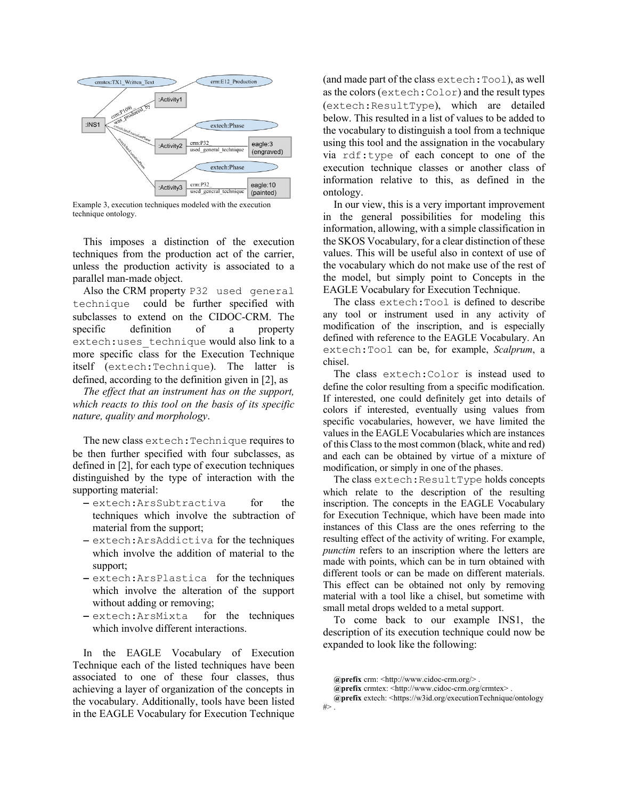

Example 3, execution techniques modeled with the execution technique ontology.

This imposes a distinction of the execution techniques from the production act of the carrier, unless the production activity is associated to a parallel man-made object.

Also the CRM property P32 used general technique could be further specified with subclasses to extend on the CIDOC-CRM. The specific definition of a property extech:uses technique would also link to a more specific class for the Execution Technique itself (extech:Technique). The latter is defined, according to the definition given in [2], as

*The effect that an instrument has on the support, which reacts to this tool on the basis of its specific nature, quality and morphology*.

The new class extech: Technique requires to be then further specified with four subclasses, as defined in [2], for each type of execution techniques distinguished by the type of interaction with the supporting material:

- extech: ArsSubtractiva for the techniques which involve the subtraction of material from the support;
- extech:ArsAddictiva for the techniques which involve the addition of material to the support;
- extech:ArsPlastica for the techniques which involve the alteration of the support without adding or removing;
- extech:ArsMixta for the techniques which involve different interactions.

In the EAGLE Vocabulary of Execution Technique each of the listed techniques have been associated to one of these four classes, thus achieving a layer of organization of the concepts in the vocabulary. Additionally, tools have been listed in the EAGLE Vocabulary for Execution Technique

(and made part of the class extech:Tool), as well as the colors (extech:Color) and the result types (extech:ResultType), which are detailed below. This resulted in a list of values to be added to the vocabulary to distinguish a tool from a technique using this tool and the assignation in the vocabulary via rdf:type of each concept to one of the execution technique classes or another class of information relative to this, as defined in the ontology.

In our view, this is a very important improvement in the general possibilities for modeling this information, allowing, with a simple classification in the SKOS Vocabulary, for a clear distinction of these values. This will be useful also in context of use of the vocabulary which do not make use of the rest of the model, but simply point to Concepts in the EAGLE Vocabulary for Execution Technique.

The class extech:Tool is defined to describe any tool or instrument used in any activity of modification of the inscription, and is especially defined with reference to the EAGLE Vocabulary. An extech:Tool can be, for example, *Scalprum*, a chisel.

The class extech:Color is instead used to define the color resulting from a specific modification. If interested, one could definitely get into details of colors if interested, eventually using values from specific vocabularies, however, we have limited the values in the EAGLE Vocabularies which are instances of this Class to the most common (black, white and red) and each can be obtained by virtue of a mixture of modification, or simply in one of the phases.

The class extech:ResultType holds concepts which relate to the description of the resulting inscription. The concepts in the EAGLE Vocabulary for Execution Technique, which have been made into instances of this Class are the ones referring to the resulting effect of the activity of writing. For example, *punctim* refers to an inscription where the letters are made with points, which can be in turn obtained with different tools or can be made on different materials. This effect can be obtained not only by removing material with a tool like a chisel, but sometime with small metal drops welded to a metal support.

To come back to our example INS1, the description of its execution technique could now be expanded to look like the following:

**<sup>@</sup>prefix** crm: <http://www.cidoc-crm.org/> .

**<sup>@</sup>prefix** crmtex: <http://www.cidoc-crm.org/crmtex> .

**<sup>@</sup>prefix** extech: <https://w3id.org/executionTechnique/ontology  $#$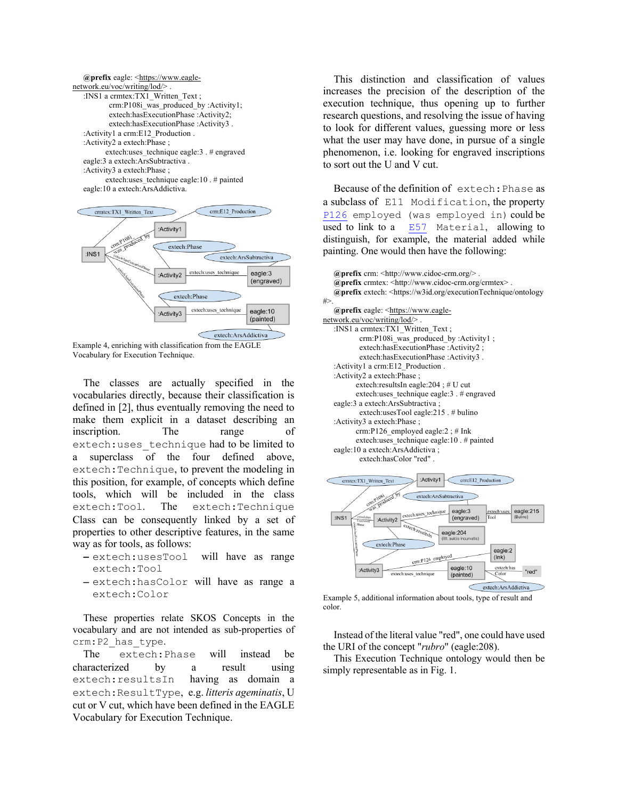



Vocabulary for Execution Technique.

The classes are actually specified in the vocabularies directly, because their classification is defined in [2], thus eventually removing the need to make them explicit in a dataset describing an inscription. The range of extech:uses\_technique had to be limited to a superclass of the four defined above, extech:Technique, to prevent the modeling in this position, for example, of concepts which define tools, which will be included in the class extech:Tool. The extech:Technique Class can be consequently linked by a set of properties to other descriptive features, in the same way as for tools, as follows:

- extech:usesTool will have as range extech:Tool
- extech:hasColor will have as range a extech:Color

These properties relate SKOS Concepts in the vocabulary and are not intended as sub-properties of crm: P2\_has\_type.

The extech:Phase will instead be characterized by a result using extech:resultsIn having as domain a extech:ResultType, e.g. *litteris ageminatis*, U cut or V cut, which have been defined in the EAGLE Vocabulary for Execution Technique.

This distinction and classification of values increases the precision of the description of the execution technique, thus opening up to further research questions, and resolving the issue of having to look for different values, guessing more or less what the user may have done, in pursue of a single phenomenon, i.e. looking for engraved inscriptions to sort out the U and V cut.

Because of the definition of extech:Phase as a subclass of E11 Modification, the property P126 employed (was employed in) could be used to link to a  $E_{57}$  Material, allowing to distinguish, for example, the material added while painting. One would then have the following:





Example 5, additional information about tools, type of result and color.

Instead of the literal value "red", one could have used the URI of the concept "*rubro*" (eagle:208).

This Execution Technique ontology would then be simply representable as in Fig. 1.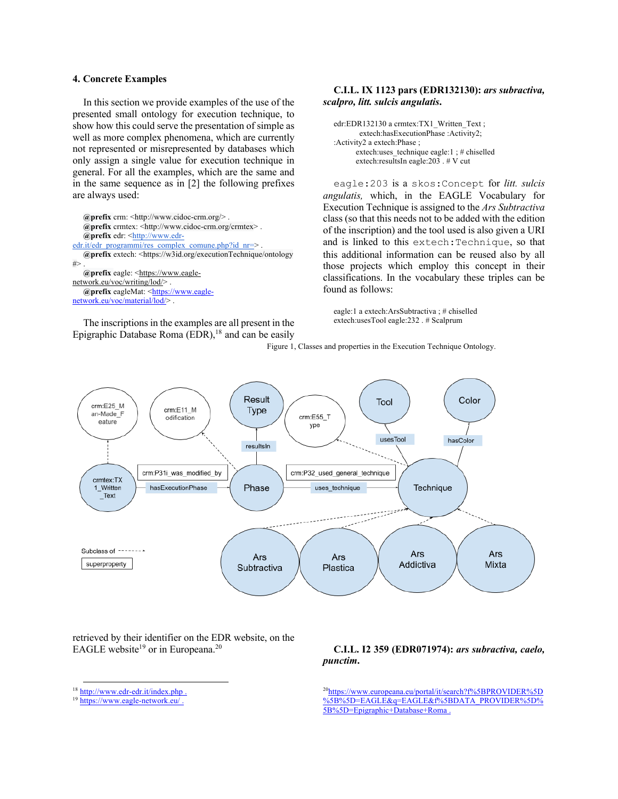#### **4. Concrete Examples**

In this section we provide examples of the use of the presented small ontology for execution technique, to show how this could serve the presentation of simple as well as more complex phenomena, which are currently not represented or misrepresented by databases which only assign a single value for execution technique in general. For all the examples, which are the same and in the same sequence as in [2] the following prefixes are always used:

```
@prefix crm: <http://www.cidoc-crm.org/> .
   @prefix crmtex: <http://www.cidoc-crm.org/crmtex> .
   @prefix edr: <http://www.edr-
edr.it/edr_programmi/res_complex_comune.php?id_nr=> .
   @prefix extech: <https://w3id.org/executionTechnique/ontology 
#>@prefix eagle: <https://www.eagle-
network.eu/voc/writing/lod/> .
   @prefix eagleMat: <https://www.eagle-
network.eu/voc/material/lod/> .
```
The inscriptions in the examples are all present in the Epigraphic Database Roma  $(EDR)$ ,<sup>18</sup> and can be easily

## **C.I.L. IX 1123 pars (EDR132130):** *ars subractiva, scalpro, litt. sulcis angulatis***.**

edr:EDR132130 a crmtex:TX1\_Written\_Text ; extech:hasExecutionPhase :Activity2; :Activity2 a extech:Phase ; extech:uses technique eagle:1 ; # chiselled extech:resultsIn eagle:203 . # V cut

eagle:203 is a skos:Concept for *litt. sulcis angulatis,* which, in the EAGLE Vocabulary for Execution Technique is assigned to the *Ars Subtractiva* class (so that this needs not to be added with the edition of the inscription) and the tool used is also given a URI and is linked to this extech:Technique, so that this additional information can be reused also by all those projects which employ this concept in their classifications. In the vocabulary these triples can be found as follows:

eagle:1 a extech:ArsSubtractiva ; # chiselled extech:usesTool eagle:232 . # Scalprum

Figure 1, Classes and properties in the Execution Technique Ontology.



retrieved by their identifier on the EDR website, on the EAGLE website<sup>19</sup> or in Europeana.<sup>20</sup>

<sup>19</sup> https://www.eagle-network.eu/.

**C.I.L. I2 359 (EDR071974):** *ars subractiva, caelo, punctim***.**

<sup>20</sup>https://www.europeana.eu/portal/it/search?f%5BPROVIDER%5D %5B%5D=EAGLE&q=EAGLE&f%5BDATA\_PROVIDER%5D% 5B%5D=Epigraphic+Database+Roma .

<sup>&</sup>lt;sup>18</sup> http://www.edr-edr.it/index.php.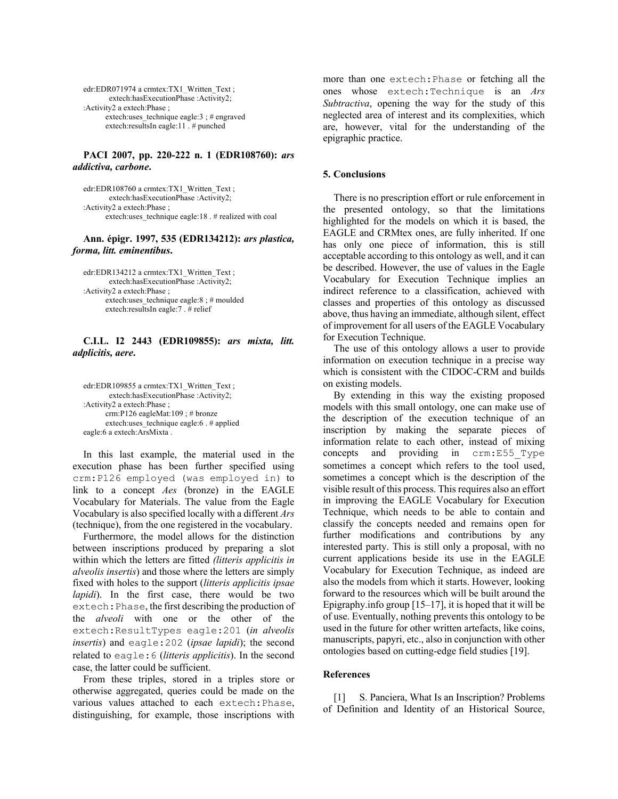edr:EDR071974 a crmtex:TX1\_Written\_Text ; extech:hasExecutionPhase :Activity2; :Activity2 a extech:Phase ; extech:uses\_technique eagle:3 ; # engraved extech:resultsIn eagle:11 . # punched

#### **PACI 2007, pp. 220-222 n. 1 (EDR108760):** *ars addictiva, carbone***.**

edr:EDR108760 a crmtex:TX1\_Written\_Text ; extech:hasExecutionPhase :Activity2; :Activity2 a extech:Phase ; extech:uses\_technique eagle:18 . # realized with coal

#### **Ann. épigr. 1997, 535 (EDR134212):** *ars plastica, forma, litt. eminentibus***.**

edr:EDR134212 a crmtex:TX1\_Written\_Text ; extech:hasExecutionPhase :Activity2; :Activity2 a extech:Phase ; extech:uses technique eagle:8 ; # moulded extech:resultsIn eagle:7 . # relief

#### **C.I.L. I2 2443 (EDR109855):** *ars mixta, litt. adplicitis, aere***.**

edr:EDR109855 a crmtex:TX1\_Written\_Text ; extech:hasExecutionPhase :Activity2; :Activity2 a extech:Phase ; crm:P126 eagleMat:109 ; # bronze extech:uses technique eagle:6 . # applied eagle:6 a extech:ArsMixta .

In this last example, the material used in the execution phase has been further specified using crm:P126 employed (was employed in) to link to a concept *Aes* (bronze) in the EAGLE Vocabulary for Materials. The value from the Eagle Vocabulary is also specified locally with a different *Ars* (technique), from the one registered in the vocabulary.

Furthermore, the model allows for the distinction between inscriptions produced by preparing a slot within which the letters are fitted *(litteris applicitis in alveolis insertis*) and those where the letters are simply fixed with holes to the support (*litteris applicitis ipsae lapidi*). In the first case, there would be two extech:Phase, the first describing the production of the *alveoli* with one or the other of the extech:ResultTypes eagle:201 (*in alveolis insertis*) and eagle:202 (*ipsae lapidi*); the second related to eagle:6 (*litteris applicitis*). In the second case, the latter could be sufficient.

From these triples, stored in a triples store or otherwise aggregated, queries could be made on the various values attached to each extech:Phase, distinguishing, for example, those inscriptions with more than one extech:Phase or fetching all the ones whose extech:Technique is an *Ars Subtractiva*, opening the way for the study of this neglected area of interest and its complexities, which are, however, vital for the understanding of the epigraphic practice.

#### **5. Conclusions**

There is no prescription effort or rule enforcement in the presented ontology, so that the limitations highlighted for the models on which it is based, the EAGLE and CRMtex ones, are fully inherited. If one has only one piece of information, this is still acceptable according to this ontology as well, and it can be described. However, the use of values in the Eagle Vocabulary for Execution Technique implies an indirect reference to a classification, achieved with classes and properties of this ontology as discussed above, thus having an immediate, although silent, effect of improvement for all users of the EAGLE Vocabulary for Execution Technique.

The use of this ontology allows a user to provide information on execution technique in a precise way which is consistent with the CIDOC-CRM and builds on existing models.

By extending in this way the existing proposed models with this small ontology, one can make use of the description of the execution technique of an inscription by making the separate pieces of information relate to each other, instead of mixing concepts and providing in crm:E55\_Type sometimes a concept which refers to the tool used, sometimes a concept which is the description of the visible result of this process. This requires also an effort in improving the EAGLE Vocabulary for Execution Technique, which needs to be able to contain and classify the concepts needed and remains open for further modifications and contributions by any interested party. This is still only a proposal, with no current applications beside its use in the EAGLE Vocabulary for Execution Technique, as indeed are also the models from which it starts. However, looking forward to the resources which will be built around the Epigraphy.info group  $[15-17]$ , it is hoped that it will be of use. Eventually, nothing prevents this ontology to be used in the future for other written artefacts, like coins, manuscripts, papyri, etc., also in conjunction with other ontologies based on cutting-edge field studies [19].

#### **References**

[1] S. Panciera, What Is an Inscription? Problems of Definition and Identity of an Historical Source,